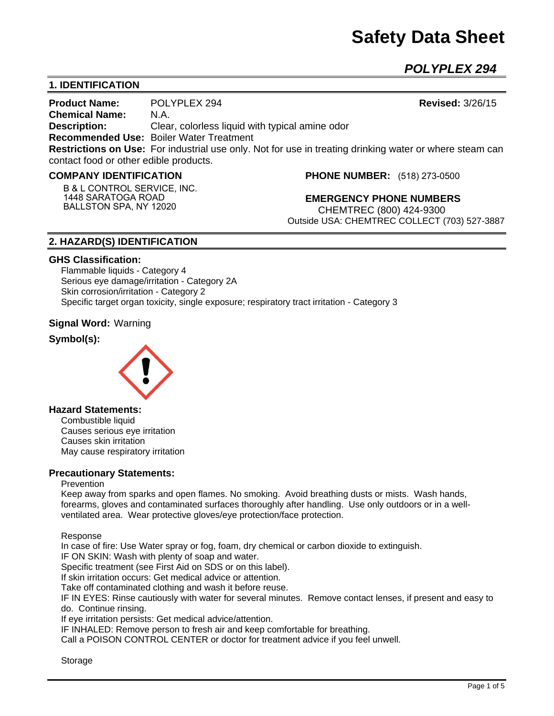# **Safety Data Sheet**

*POLYPLEX 294* 

# **1. IDENTIFICATION**

**Product Name:** POLYPLEX 294 **Revised:** 3/26/15 **Chemical Name:** N.A. **Description:** Clear, colorless liquid with typical amine odor **Recommended Use:** Boiler Water Treatment **Restrictions on Use:** For industrial use only. Not for use in treating drinking water or where steam can contact food or other edible products.

## **COMPANY IDENTIFICATION**

**B & L CONTROL SERVICE, INC. 1448 SARATOGA ROAD BALLSTON SPA, NY 12020**

**PHONE NUMBER:** (518) 273-0500

**EMERGENCY PHONE NUMBERS** CHEMTREC (800) 424-9300 Outside USA: CHEMTREC COLLECT (703) 527-3887

# **2. HAZARD(S) IDENTIFICATION**

#### **GHS Classification:**

Flammable liquids - Category 4 Serious eye damage/irritation - Category 2A Skin corrosion/irritation - Category 2 Specific target organ toxicity, single exposure; respiratory tract irritation - Category 3

## **Signal Word:** Warning

## **Symbol(s):**



# **Hazard Statements:**

Combustible liquid Causes serious eye irritation Causes skin irritation May cause respiratory irritation

#### **Precautionary Statements:**

#### Prevention

Keep away from sparks and open flames. No smoking. Avoid breathing dusts or mists. Wash hands, forearms, gloves and contaminated surfaces thoroughly after handling. Use only outdoors or in a wellventilated area. Wear protective gloves/eye protection/face protection.

Response

In case of fire: Use Water spray or fog, foam, dry chemical or carbon dioxide to extinguish.

IF ON SKIN: Wash with plenty of soap and water.

Specific treatment (see First Aid on SDS or on this label).

If skin irritation occurs: Get medical advice or attention.

Take off contaminated clothing and wash it before reuse.

IF IN EYES: Rinse cautiously with water for several minutes. Remove contact lenses, if present and easy to do. Continue rinsing.

If eye irritation persists: Get medical advice/attention.

IF INHALED: Remove person to fresh air and keep comfortable for breathing.

Call a POISON CONTROL CENTER or doctor for treatment advice if you feel unwell.

Storage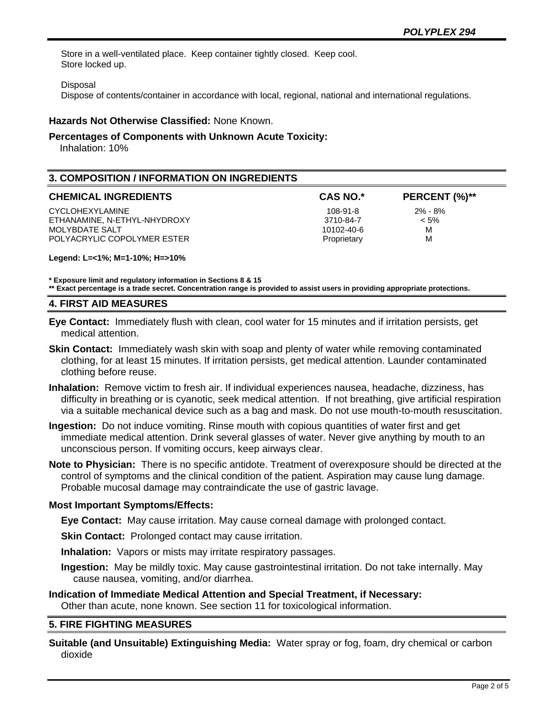Store in a well-ventilated place. Keep container tightly closed. Keep cool. Store locked up.

#### Disposal

Dispose of contents/container in accordance with local, regional, national and international regulations.

## **Hazards Not Otherwise Classified:** None Known.

## **Percentages of Components with Unknown Acute Toxicity:**

Inhalation: 10%

# **3. COMPOSITION / INFORMATION ON INGREDIENTS**

#### **CHEMICAL INGREDIENTS CAS NO.\* PERCENT (%)\*\***

CYCLOHEXYLAMINE 2% - 8% ETHANAMINE, N-ETHYL-NHYDROXY 3710-84-7 < 5% MOLYBDATE SALT NORTH SALT NORTH SALT NORTH SALT NORTH SALT NORTH SALT NORTH SALT NORTH SALT NORTH SALT NORTH SALT NORTH SALT NORTH SALT NORTH SALT NORTH SALT NORTH SALT NORTH SALT NORTH SALT NORTH SALT NORTH SALT NORTH SAL POLYACRYLIC COPOLYMER ESTER **EXAMPLE 2008** Proprietary M

**Legend: L=<1%; M=1-10%; H=>10%**

**\* Exposure limit and regulatory information in Sections 8 & 15**

**\*\* Exact percentage is a trade secret. Concentration range is provided to assist users in providing appropriate protections.**

## **4. FIRST AID MEASURES**

**Eye Contact:** Immediately flush with clean, cool water for 15 minutes and if irritation persists, get medical attention.

- **Skin Contact:** Immediately wash skin with soap and plenty of water while removing contaminated clothing, for at least 15 minutes. If irritation persists, get medical attention. Launder contaminated clothing before reuse.
- **Inhalation:** Remove victim to fresh air. If individual experiences nausea, headache, dizziness, has difficulty in breathing or is cyanotic, seek medical attention. If not breathing, give artificial respiration via a suitable mechanical device such as a bag and mask. Do not use mouth-to-mouth resuscitation.
- **Ingestion:** Do not induce vomiting. Rinse mouth with copious quantities of water first and get immediate medical attention. Drink several glasses of water. Never give anything by mouth to an unconscious person. If vomiting occurs, keep airways clear.
- **Note to Physician:** There is no specific antidote. Treatment of overexposure should be directed at the control of symptoms and the clinical condition of the patient. Aspiration may cause lung damage. Probable mucosal damage may contraindicate the use of gastric lavage.

#### **Most Important Symptoms/Effects:**

**Eye Contact:** May cause irritation. May cause corneal damage with prolonged contact.

**Skin Contact:** Prolonged contact may cause irritation.

**Inhalation:** Vapors or mists may irritate respiratory passages.

**Ingestion:** May be mildly toxic. May cause gastrointestinal irritation. Do not take internally. May cause nausea, vomiting, and/or diarrhea.

## **Indication of Immediate Medical Attention and Special Treatment, if Necessary:** Other than acute, none known. See section 11 for toxicological information.

## **5. FIRE FIGHTING MEASURES**

**Suitable (and Unsuitable) Extinguishing Media:** Water spray or fog, foam, dry chemical or carbon dioxide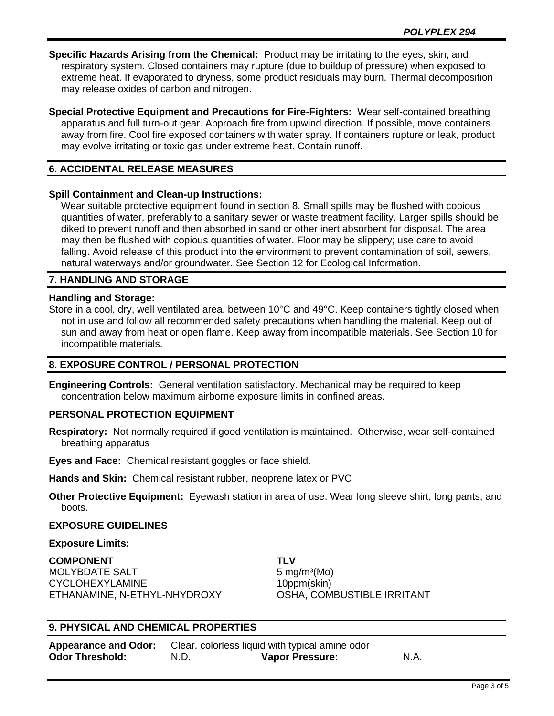**Specific Hazards Arising from the Chemical:** Product may be irritating to the eyes, skin, and respiratory system. Closed containers may rupture (due to buildup of pressure) when exposed to extreme heat. If evaporated to dryness, some product residuals may burn. Thermal decomposition may release oxides of carbon and nitrogen.

**Special Protective Equipment and Precautions for Fire-Fighters:** Wear self-contained breathing apparatus and full turn-out gear. Approach fire from upwind direction. If possible, move containers away from fire. Cool fire exposed containers with water spray. If containers rupture or leak, product may evolve irritating or toxic gas under extreme heat. Contain runoff.

# **6. ACCIDENTAL RELEASE MEASURES**

## **Spill Containment and Clean-up Instructions:**

Wear suitable protective equipment found in section 8. Small spills may be flushed with copious quantities of water, preferably to a sanitary sewer or waste treatment facility. Larger spills should be diked to prevent runoff and then absorbed in sand or other inert absorbent for disposal. The area may then be flushed with copious quantities of water. Floor may be slippery; use care to avoid falling. Avoid release of this product into the environment to prevent contamination of soil, sewers, natural waterways and/or groundwater. See Section 12 for Ecological Information.

## **7. HANDLING AND STORAGE**

#### **Handling and Storage:**

Store in a cool, dry, well ventilated area, between 10°C and 49°C. Keep containers tightly closed when not in use and follow all recommended safety precautions when handling the material. Keep out of sun and away from heat or open flame. Keep away from incompatible materials. See Section 10 for incompatible materials.

## **8. EXPOSURE CONTROL / PERSONAL PROTECTION**

**Engineering Controls:** General ventilation satisfactory. Mechanical may be required to keep concentration below maximum airborne exposure limits in confined areas.

## **PERSONAL PROTECTION EQUIPMENT**

**Respiratory:** Not normally required if good ventilation is maintained. Otherwise, wear self-contained breathing apparatus

**Eyes and Face:** Chemical resistant goggles or face shield.

**Hands and Skin:** Chemical resistant rubber, neoprene latex or PVC

**Other Protective Equipment:** Eyewash station in area of use. Wear long sleeve shirt, long pants, and boots.

#### **EXPOSURE GUIDELINES**

#### **Exposure Limits:**

**COMPONENT TLV** MOLYBDATE SALT 5 mg/m<sup>3</sup>(Mo) CYCLOHEXYLAMINE 10ppm(skin) ETHANAMINE, N-ETHYL-NHYDROXY OSHA, COMBUSTIBLE IRRITANT

## **9. PHYSICAL AND CHEMICAL PROPERTIES**

| <b>Appearance and Odor:</b> | Clear, colorless liquid with typical amine odor |                        |      |
|-----------------------------|-------------------------------------------------|------------------------|------|
| <b>Odor Threshold:</b>      | N.D.                                            | <b>Vapor Pressure:</b> | N.A. |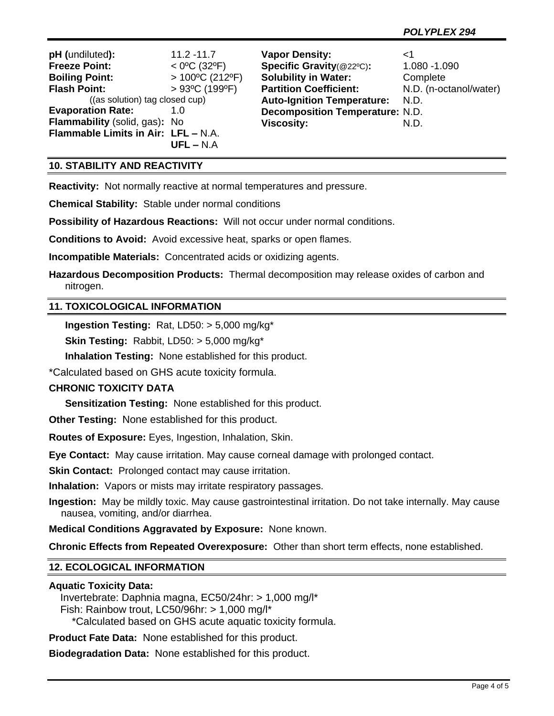| pH (undiluted):                     | $11.2 - 11.7$                      | <b>Vapor Density:</b>                  | ا>                     |
|-------------------------------------|------------------------------------|----------------------------------------|------------------------|
| <b>Freeze Point:</b>                | $<$ 0°C (32°F)                     | Specific Gravity(@22°C):               | 1.080 -1.090           |
| <b>Boiling Point:</b>               | $>100^{\circ}$ C (212°F)           | <b>Solubility in Water:</b>            | Complete               |
| <b>Flash Point:</b>                 | $>93^{\circ}$ C (199 $^{\circ}$ F) | <b>Partition Coefficient:</b>          | N.D. (n-octanol/water) |
| ((as solution) tag closed cup)      |                                    | <b>Auto-Ignition Temperature:</b>      | N.D.                   |
| <b>Evaporation Rate:</b>            | 1.0                                | <b>Decomposition Temperature: N.D.</b> |                        |
| Flammability (solid, gas): No       |                                    | <b>Viscosity:</b>                      | N.D.                   |
| Flammable Limits in Air: LFL - N.A. |                                    |                                        |                        |
|                                     | $UFL - N.A$                        |                                        |                        |

# **10. STABILITY AND REACTIVITY**

**Reactivity:** Not normally reactive at normal temperatures and pressure.

**Chemical Stability:** Stable under normal conditions

**Possibility of Hazardous Reactions:** Will not occur under normal conditions.

**Conditions to Avoid:** Avoid excessive heat, sparks or open flames.

**Incompatible Materials:** Concentrated acids or oxidizing agents.

**Hazardous Decomposition Products:** Thermal decomposition may release oxides of carbon and nitrogen.

## **11. TOXICOLOGICAL INFORMATION**

**Ingestion Testing:** Rat, LD50: > 5,000 mg/kg\*

**Skin Testing:** Rabbit, LD50: > 5,000 mg/kg\*

**Inhalation Testing:** None established for this product.

\*Calculated based on GHS acute toxicity formula.

# **CHRONIC TOXICITY DATA**

**Sensitization Testing:** None established for this product.

**Other Testing:** None established for this product.

**Routes of Exposure:** Eyes, Ingestion, Inhalation, Skin.

**Eye Contact:** May cause irritation. May cause corneal damage with prolonged contact.

**Skin Contact:** Prolonged contact may cause irritation.

**Inhalation:** Vapors or mists may irritate respiratory passages.

**Ingestion:** May be mildly toxic. May cause gastrointestinal irritation. Do not take internally. May cause nausea, vomiting, and/or diarrhea.

**Medical Conditions Aggravated by Exposure:** None known.

**Chronic Effects from Repeated Overexposure:** Other than short term effects, none established.

## **12. ECOLOGICAL INFORMATION**

#### **Aquatic Toxicity Data:**

 Invertebrate: Daphnia magna, EC50/24hr: > 1,000 mg/l\* Fish: Rainbow trout, LC50/96hr: > 1,000 mg/l\* \*Calculated based on GHS acute aquatic toxicity formula.

**Product Fate Data:** None established for this product.

**Biodegradation Data:** None established for this product.